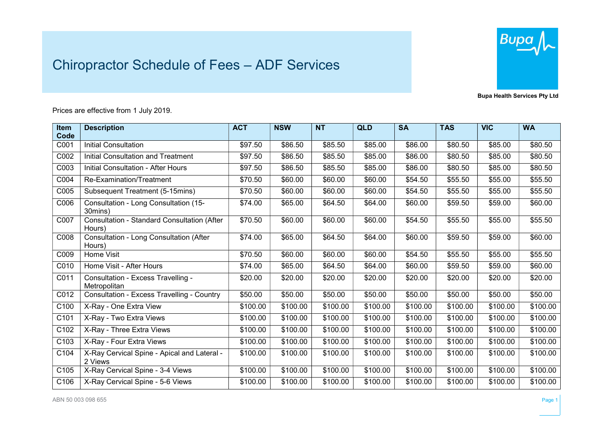## Chiropractor Schedule of Fees – ADF Services



Bupa Health Services Pty Ltd

## Prices are effective from 1 July 2019.

| Item | <b>Description</b>                                     | <b>ACT</b> | <b>NSW</b> | <b>NT</b> | <b>QLD</b> | <b>SA</b> | <b>TAS</b> | <b>VIC</b> | <b>WA</b> |
|------|--------------------------------------------------------|------------|------------|-----------|------------|-----------|------------|------------|-----------|
| Code |                                                        |            |            |           |            |           |            |            |           |
| C001 | <b>Initial Consultation</b>                            | \$97.50    | \$86.50    | \$85.50   | \$85.00    | \$86.00   | \$80.50    | \$85.00    | \$80.50   |
| C002 | <b>Initial Consultation and Treatment</b>              | \$97.50    | \$86.50    | \$85.50   | \$85.00    | \$86.00   | \$80.50    | \$85.00    | \$80.50   |
| C003 | <b>Initial Consultation - After Hours</b>              | \$97.50    | \$86.50    | \$85.50   | \$85.00    | \$86.00   | \$80.50    | \$85.00    | \$80.50   |
| C004 | Re-Examination/Treatment                               | \$70.50    | \$60.00    | \$60.00   | \$60.00    | \$54.50   | \$55.50    | \$55.00    | \$55.50   |
| C005 | Subsequent Treatment (5-15mins)                        | \$70.50    | \$60.00    | \$60.00   | \$60.00    | \$54.50   | \$55.50    | \$55.00    | \$55.50   |
| C006 | Consultation - Long Consultation (15-<br>30mins)       | \$74.00    | \$65.00    | \$64.50   | \$64.00    | \$60.00   | \$59.50    | \$59.00    | \$60.00   |
| C007 | Consultation - Standard Consultation (After<br>Hours)  | \$70.50    | \$60.00    | \$60.00   | \$60.00    | \$54.50   | \$55.50    | \$55.00    | \$55.50   |
| C008 | Consultation - Long Consultation (After<br>Hours)      | \$74.00    | \$65.00    | \$64.50   | \$64.00    | \$60.00   | \$59.50    | \$59.00    | \$60.00   |
| C009 | Home Visit                                             | \$70.50    | \$60.00    | \$60.00   | \$60.00    | \$54.50   | \$55.50    | \$55.00    | \$55.50   |
| C010 | Home Visit - After Hours                               | \$74.00    | \$65.00    | \$64.50   | \$64.00    | \$60.00   | \$59.50    | \$59.00    | \$60.00   |
| C011 | Consultation - Excess Travelling -<br>Metropolitan     | \$20.00    | \$20.00    | \$20.00   | \$20.00    | \$20.00   | \$20.00    | \$20.00    | \$20.00   |
| C012 | <b>Consultation - Excess Travelling - Country</b>      | \$50.00    | \$50.00    | \$50.00   | \$50.00    | \$50.00   | \$50.00    | \$50.00    | \$50.00   |
| C100 | X-Ray - One Extra View                                 | \$100.00   | \$100.00   | \$100.00  | \$100.00   | \$100.00  | \$100.00   | \$100.00   | \$100.00  |
| C101 | X-Ray - Two Extra Views                                | \$100.00   | \$100.00   | \$100.00  | \$100.00   | \$100.00  | \$100.00   | \$100.00   | \$100.00  |
| C102 | X-Ray - Three Extra Views                              | \$100.00   | \$100.00   | \$100.00  | \$100.00   | \$100.00  | \$100.00   | \$100.00   | \$100.00  |
| C103 | X-Ray - Four Extra Views                               | \$100.00   | \$100.00   | \$100.00  | \$100.00   | \$100.00  | \$100.00   | \$100.00   | \$100.00  |
| C104 | X-Ray Cervical Spine - Apical and Lateral -<br>2 Views | \$100.00   | \$100.00   | \$100.00  | \$100.00   | \$100.00  | \$100.00   | \$100.00   | \$100.00  |
| C105 | X-Ray Cervical Spine - 3-4 Views                       | \$100.00   | \$100.00   | \$100.00  | \$100.00   | \$100.00  | \$100.00   | \$100.00   | \$100.00  |
| C106 | X-Ray Cervical Spine - 5-6 Views                       | \$100.00   | \$100.00   | \$100.00  | \$100.00   | \$100.00  | \$100.00   | \$100.00   | \$100.00  |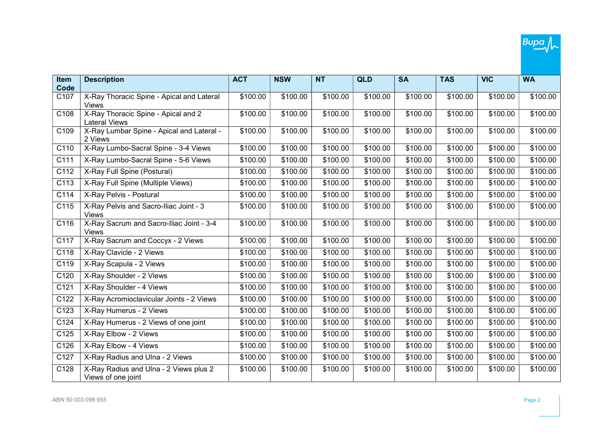

| Item<br>Code     | <b>Description</b>                                           | <b>ACT</b> | <b>NSW</b> | <b>NT</b> | <b>QLD</b> | <b>SA</b> | <b>TAS</b> | <b>VIC</b> | <b>WA</b> |
|------------------|--------------------------------------------------------------|------------|------------|-----------|------------|-----------|------------|------------|-----------|
| C107             | X-Ray Thoracic Spine - Apical and Lateral<br>Views           | \$100.00   | \$100.00   | \$100.00  | \$100.00   | \$100.00  | \$100.00   | \$100.00   | \$100.00  |
| C108             | X-Ray Thoracic Spine - Apical and 2<br><b>Lateral Views</b>  | \$100.00   | \$100.00   | \$100.00  | \$100.00   | \$100.00  | \$100.00   | \$100.00   | \$100.00  |
| C109             | X-Ray Lumbar Spine - Apical and Lateral -<br>2 Views         | \$100.00   | \$100.00   | \$100.00  | \$100.00   | \$100.00  | \$100.00   | \$100.00   | \$100.00  |
| C110             | X-Ray Lumbo-Sacral Spine - 3-4 Views                         | \$100.00   | \$100.00   | \$100.00  | \$100.00   | \$100.00  | \$100.00   | \$100.00   | \$100.00  |
| C <sub>111</sub> | X-Ray Lumbo-Sacral Spine - 5-6 Views                         | \$100.00   | \$100.00   | \$100.00  | \$100.00   | \$100.00  | \$100.00   | \$100.00   | \$100.00  |
| C112             | X-Ray Full Spine (Postural)                                  | \$100.00   | \$100.00   | \$100.00  | \$100.00   | \$100.00  | \$100.00   | \$100.00   | \$100.00  |
| C113             | X-Ray Full Spine (Multiple Views)                            | \$100.00   | \$100.00   | \$100.00  | \$100.00   | \$100.00  | \$100.00   | \$100.00   | \$100.00  |
| C <sub>114</sub> | X-Ray Pelvis - Postural                                      | \$100.00   | \$100.00   | \$100.00  | \$100.00   | \$100.00  | \$100.00   | \$100.00   | \$100.00  |
| C115             | X-Ray Pelvis and Sacro-Iliac Joint - 3<br>Views              | \$100.00   | \$100.00   | \$100.00  | \$100.00   | \$100.00  | \$100.00   | \$100.00   | \$100.00  |
| C116             | X-Ray Sacrum and Sacro-Iliac Joint - 3-4<br><b>Views</b>     | \$100.00   | \$100.00   | \$100.00  | \$100.00   | \$100.00  | \$100.00   | \$100.00   | \$100.00  |
| C117             | X-Ray Sacrum and Coccyx - 2 Views                            | \$100.00   | \$100.00   | \$100.00  | \$100.00   | \$100.00  | \$100.00   | \$100.00   | \$100.00  |
| C118             | X-Ray Clavicle - 2 Views                                     | \$100.00   | \$100.00   | \$100.00  | \$100.00   | \$100.00  | \$100.00   | \$100.00   | \$100.00  |
| C119             | X-Ray Scapula - 2 Views                                      | \$100.00   | \$100.00   | \$100.00  | \$100.00   | \$100.00  | \$100.00   | \$100.00   | \$100.00  |
| C120             | X-Ray Shoulder - 2 Views                                     | \$100.00   | \$100.00   | \$100.00  | \$100.00   | \$100.00  | \$100.00   | \$100.00   | \$100.00  |
| C <sub>121</sub> | X-Ray Shoulder - 4 Views                                     | \$100.00   | \$100.00   | \$100.00  | \$100.00   | \$100.00  | \$100.00   | \$100.00   | \$100.00  |
| C122             | X-Ray Acromioclavicular Joints - 2 Views                     | \$100.00   | \$100.00   | \$100.00  | \$100.00   | \$100.00  | \$100.00   | \$100.00   | \$100.00  |
| C123             | X-Ray Humerus - 2 Views                                      | \$100.00   | \$100.00   | \$100.00  | \$100.00   | \$100.00  | \$100.00   | \$100.00   | \$100.00  |
| C124             | X-Ray Humerus - 2 Views of one joint                         | \$100.00   | \$100.00   | \$100.00  | \$100.00   | \$100.00  | \$100.00   | \$100.00   | \$100.00  |
| C125             | X-Ray Elbow - 2 Views                                        | \$100.00   | \$100.00   | \$100.00  | \$100.00   | \$100.00  | \$100.00   | \$100.00   | \$100.00  |
| C126             | X-Ray Elbow - 4 Views                                        | \$100.00   | \$100.00   | \$100.00  | \$100.00   | \$100.00  | \$100.00   | \$100.00   | \$100.00  |
| C127             | X-Ray Radius and Ulna - 2 Views                              | \$100.00   | \$100.00   | \$100.00  | \$100.00   | \$100.00  | \$100.00   | \$100.00   | \$100.00  |
| C128             | X-Ray Radius and Ulna - 2 Views plus 2<br>Views of one joint | \$100.00   | \$100.00   | \$100.00  | \$100.00   | \$100.00  | \$100.00   | \$100.00   | \$100.00  |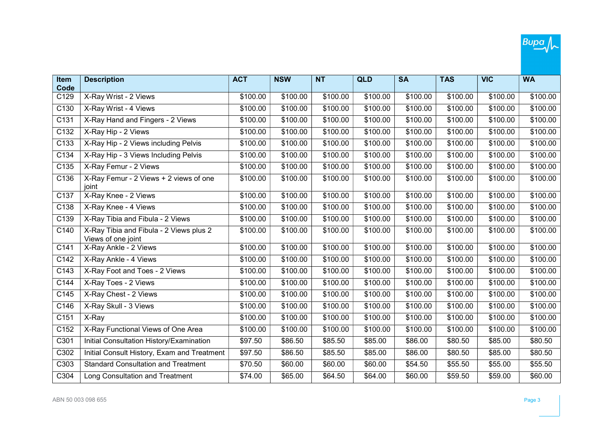

| <b>Item</b><br>Code | <b>Description</b>                                            | <b>ACT</b> | <b>NSW</b> | <b>NT</b> | <b>QLD</b> | <b>SA</b> | <b>TAS</b> | <b>VIC</b> | <b>WA</b> |
|---------------------|---------------------------------------------------------------|------------|------------|-----------|------------|-----------|------------|------------|-----------|
| C129                | X-Ray Wrist - 2 Views                                         | \$100.00   | \$100.00   | \$100.00  | \$100.00   | \$100.00  | \$100.00   | \$100.00   | \$100.00  |
| C <sub>130</sub>    | X-Ray Wrist - 4 Views                                         | \$100.00   | \$100.00   | \$100.00  | \$100.00   | \$100.00  | \$100.00   | \$100.00   | \$100.00  |
| C131                | X-Ray Hand and Fingers - 2 Views                              | \$100.00   | \$100.00   | \$100.00  | \$100.00   | \$100.00  | \$100.00   | \$100.00   | \$100.00  |
| C132                | X-Ray Hip - 2 Views                                           | \$100.00   | \$100.00   | \$100.00  | \$100.00   | \$100.00  | \$100.00   | \$100.00   | \$100.00  |
| C <sub>133</sub>    | X-Ray Hip - 2 Views including Pelvis                          | \$100.00   | \$100.00   | \$100.00  | \$100.00   | \$100.00  | \$100.00   | \$100.00   | \$100.00  |
| C134                | X-Ray Hip - 3 Views Including Pelvis                          | \$100.00   | \$100.00   | \$100.00  | \$100.00   | \$100.00  | \$100.00   | \$100.00   | \$100.00  |
| C135                | X-Ray Femur - 2 Views                                         | \$100.00   | \$100.00   | \$100.00  | \$100.00   | \$100.00  | \$100.00   | \$100.00   | \$100.00  |
| C136                | X-Ray Femur - 2 Views + 2 views of one<br>ioint               | \$100.00   | \$100.00   | \$100.00  | \$100.00   | \$100.00  | \$100.00   | \$100.00   | \$100.00  |
| C137                | X-Ray Knee - 2 Views                                          | \$100.00   | \$100.00   | \$100.00  | \$100.00   | \$100.00  | \$100.00   | \$100.00   | \$100.00  |
| C138                | X-Ray Knee - 4 Views                                          | \$100.00   | \$100.00   | \$100.00  | \$100.00   | \$100.00  | \$100.00   | \$100.00   | \$100.00  |
| C139                | X-Ray Tibia and Fibula - 2 Views                              | \$100.00   | \$100.00   | \$100.00  | \$100.00   | \$100.00  | \$100.00   | \$100.00   | \$100.00  |
| C140                | X-Ray Tibia and Fibula - 2 Views plus 2<br>Views of one joint | \$100.00   | \$100.00   | \$100.00  | \$100.00   | \$100.00  | \$100.00   | \$100.00   | \$100.00  |
| C141                | X-Ray Ankle - 2 Views                                         | \$100.00   | \$100.00   | \$100.00  | \$100.00   | \$100.00  | \$100.00   | \$100.00   | \$100.00  |
| C <sub>142</sub>    | X-Ray Ankle - 4 Views                                         | \$100.00   | \$100.00   | \$100.00  | \$100.00   | \$100.00  | \$100.00   | \$100.00   | \$100.00  |
| C143                | X-Ray Foot and Toes - 2 Views                                 | \$100.00   | \$100.00   | \$100.00  | \$100.00   | \$100.00  | \$100.00   | \$100.00   | \$100.00  |
| C144                | X-Ray Toes - 2 Views                                          | \$100.00   | \$100.00   | \$100.00  | \$100.00   | \$100.00  | \$100.00   | \$100.00   | \$100.00  |
| C145                | X-Ray Chest - 2 Views                                         | \$100.00   | \$100.00   | \$100.00  | \$100.00   | \$100.00  | \$100.00   | \$100.00   | \$100.00  |
| C146                | X-Ray Skull - 3 Views                                         | \$100.00   | \$100.00   | \$100.00  | \$100.00   | \$100.00  | \$100.00   | \$100.00   | \$100.00  |
| C151                | X-Ray                                                         | \$100.00   | \$100.00   | \$100.00  | \$100.00   | \$100.00  | \$100.00   | \$100.00   | \$100.00  |
| C <sub>152</sub>    | X-Ray Functional Views of One Area                            | \$100.00   | \$100.00   | \$100.00  | \$100.00   | \$100.00  | \$100.00   | \$100.00   | \$100.00  |
| C301                | Initial Consultation History/Examination                      | \$97.50    | \$86.50    | \$85.50   | \$85.00    | \$86.00   | \$80.50    | \$85.00    | \$80.50   |
| C302                | Initial Consult History, Exam and Treatment                   | \$97.50    | \$86.50    | \$85.50   | \$85.00    | \$86.00   | \$80.50    | \$85.00    | \$80.50   |
| C303                | <b>Standard Consultation and Treatment</b>                    | \$70.50    | \$60.00    | \$60.00   | \$60.00    | \$54.50   | \$55.50    | \$55.00    | \$55.50   |
| C304                | Long Consultation and Treatment                               | \$74.00    | \$65.00    | \$64.50   | \$64.00    | \$60.00   | \$59.50    | \$59.00    | \$60.00   |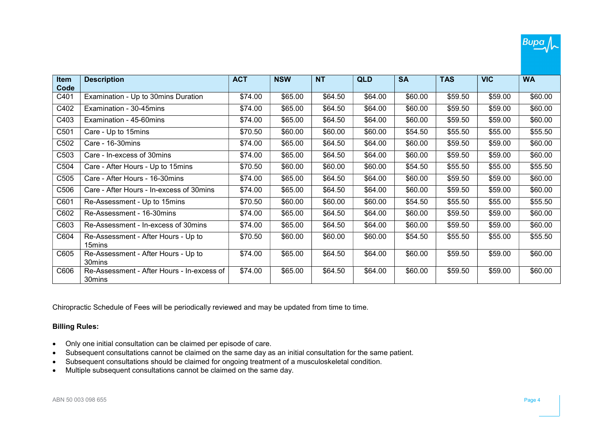

| Item<br>Code     | <b>Description</b>                                   | <b>ACT</b> | <b>NSW</b> | <b>NT</b> | <b>QLD</b> | <b>SA</b> | <b>TAS</b> | <b>VIC</b> | <b>WA</b> |
|------------------|------------------------------------------------------|------------|------------|-----------|------------|-----------|------------|------------|-----------|
| C401             | Examination - Up to 30mins Duration                  | \$74.00    | \$65.00    | \$64.50   | \$64.00    | \$60.00   | \$59.50    | \$59.00    | \$60.00   |
| C402             | Examination - 30-45mins                              | \$74.00    | \$65.00    | \$64.50   | \$64.00    | \$60.00   | \$59.50    | \$59.00    | \$60.00   |
| C403             | Examination - 45-60mins                              | \$74.00    | \$65.00    | \$64.50   | \$64.00    | \$60.00   | \$59.50    | \$59.00    | \$60.00   |
| C501             | Care - Up to 15mins                                  | \$70.50    | \$60.00    | \$60.00   | \$60.00    | \$54.50   | \$55.50    | \$55.00    | \$55.50   |
| C502             | Care - 16-30mins                                     | \$74.00    | \$65.00    | \$64.50   | \$64.00    | \$60.00   | \$59.50    | \$59.00    | \$60.00   |
| C <sub>503</sub> | Care - In-excess of 30mins                           | \$74.00    | \$65.00    | \$64.50   | \$64.00    | \$60.00   | \$59.50    | \$59.00    | \$60.00   |
| C504             | Care - After Hours - Up to 15mins                    | \$70.50    | \$60.00    | \$60.00   | \$60.00    | \$54.50   | \$55.50    | \$55.00    | \$55.50   |
| C505             | Care - After Hours - 16-30mins                       | \$74.00    | \$65.00    | \$64.50   | \$64.00    | \$60.00   | \$59.50    | \$59.00    | \$60.00   |
| C506             | Care - After Hours - In-excess of 30mins             | \$74.00    | \$65.00    | \$64.50   | \$64.00    | \$60.00   | \$59.50    | \$59.00    | \$60.00   |
| C601             | Re-Assessment - Up to 15mins                         | \$70.50    | \$60.00    | \$60.00   | \$60.00    | \$54.50   | \$55.50    | \$55.00    | \$55.50   |
| C602             | Re-Assessment - 16-30mins                            | \$74.00    | \$65.00    | \$64.50   | \$64.00    | \$60.00   | \$59.50    | \$59.00    | \$60.00   |
| C603             | Re-Assessment - In-excess of 30mins                  | \$74.00    | \$65.00    | \$64.50   | \$64.00    | \$60.00   | \$59.50    | \$59.00    | \$60.00   |
| C604             | Re-Assessment - After Hours - Up to<br>15mins        | \$70.50    | \$60.00    | \$60.00   | \$60.00    | \$54.50   | \$55.50    | \$55.00    | \$55.50   |
| C605             | Re-Assessment - After Hours - Up to<br>30mins        | \$74.00    | \$65.00    | \$64.50   | \$64.00    | \$60.00   | \$59.50    | \$59.00    | \$60.00   |
| C606             | Re-Assessment - After Hours - In-excess of<br>30mins | \$74.00    | \$65.00    | \$64.50   | \$64.00    | \$60.00   | \$59.50    | \$59.00    | \$60.00   |

Chiropractic Schedule of Fees will be periodically reviewed and may be updated from time to time.

## Billing Rules:

- Only one initial consultation can be claimed per episode of care.
- Subsequent consultations cannot be claimed on the same day as an initial consultation for the same patient.
- Subsequent consultations should be claimed for ongoing treatment of a musculoskeletal condition.
- Multiple subsequent consultations cannot be claimed on the same day.